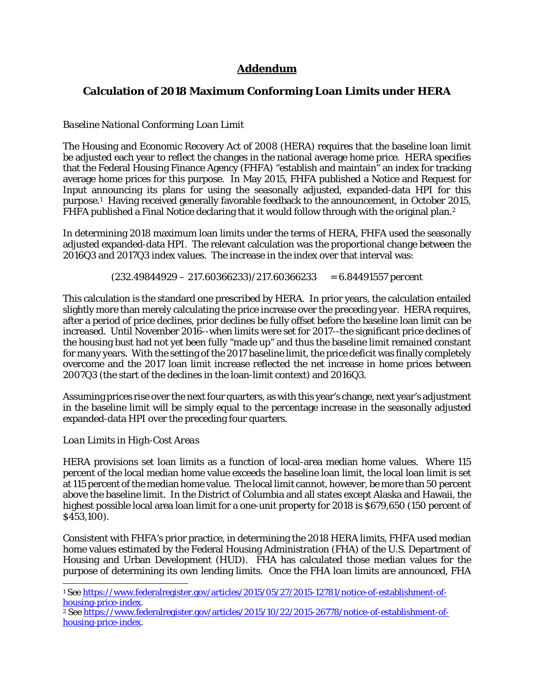# **Addendum**

## **Calculation of 2018 Maximum Conforming Loan Limits under HERA**

#### *Baseline National Conforming Loan Limit*

The Housing and Economic Recovery Act of 2008 (HERA) requires that the baseline loan limit be adjusted each year to reflect the changes in the national average home price. HERA specifies that the Federal Housing Finance Agency (FHFA) "establish and maintain" an index for tracking average home prices for this purpose. In May 2015, FHFA published a Notice and Request for Input announcing its plans for using the seasonally adjusted, expanded-data HPI for this purpose.1 Having received generally favorable feedback to the announcement, in October 2015, FHFA published a Final Notice declaring that it would follow through with the original plan.<sup>2</sup>

In determining 2018 maximum loan limits under the terms of HERA, FHFA used the seasonally adjusted expanded-data HPI. The relevant calculation was the proportional change between the 2016Q3 and 2017Q3 index values. The increase in the index over that interval was:

#### *(232.49844929 – 217.60366233)/217.60366233 = 6.84491557 percent*

This calculation is the standard one prescribed by HERA. In prior years, the calculation entailed slightly more than merely calculating the price increase over the preceding year. HERA requires, after a period of price declines, prior declines be fully offset before the baseline loan limit can be increased. Until November 2016--when limits were set for 2017--the significant price declines of the housing bust had not yet been fully "made up" and thus the baseline limit remained constant for many years. With the setting of the 2017 baseline limit, the price deficit was finally completely overcome and the 2017 loan limit increase reflected the *net* increase in home prices between 2007Q3 (the start of the declines in the loan-limit context) and 2016Q3.

Assuming prices rise over the next four quarters, as with this year's change, next year's adjustment in the baseline limit will be simply equal to the percentage increase in the seasonally adjusted expanded-data HPI over the preceding four quarters.

#### *Loan Limits in High-Cost Areas*

 $\overline{a}$ 

HERA provisions set loan limits as a function of local-area median home values. Where 115 percent of the local median home value exceeds the baseline loan limit, the local loan limit is set at 115 percent of the median home value. The local limit cannot, however, be more than 50 percent above the baseline limit. In the District of Columbia and all states except Alaska and Hawaii, the highest possible local area loan limit for a one-unit property for 2018 is \$679,650 (150 percent of \$453,100).

Consistent with FHFA's prior practice, in determining the 2018 HERA limits, FHFA used median home values estimated by the Federal Housing Administration (FHA) of the U.S. Department of Housing and Urban Development (HUD). FHA has calculated those median values for the purpose of determining its own lending limits. Once the FHA loan limits are announced, FHA

<sup>&</sup>lt;sup>1</sup> See https://www.federalregister.gov/articles/2015/05/27/2015-12781/notice-of-establishment-of-<br>housing-price-index.

<sup>&</sup>lt;sup>2</sup> See https://www.federalregister.gov/articles/2015/10/22/2015-26778/notice-of-establishment-ofhousing-price-index.